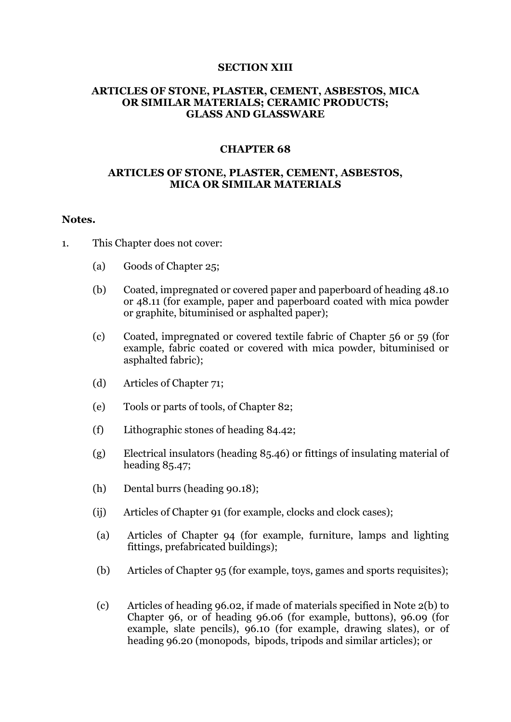#### **SECTION XIII**

### **ARTICLES OF STONE, PLASTER, CEMENT, ASBESTOS, MICA OR SIMILAR MATERIALS; CERAMIC PRODUCTS; GLASS AND GLASSWARE**

#### **CHAPTER 68**

#### **ARTICLES OF STONE, PLASTER, CEMENT, ASBESTOS, MICA OR SIMILAR MATERIALS**

#### **Notes.**

- 1. This Chapter does not cover:
	- (a) Goods of Chapter 25;
	- (b) Coated, impregnated or covered paper and paperboard of heading 48.10 or 48.11 (for example, paper and paperboard coated with mica powder or graphite, bituminised or asphalted paper);
	- (c) Coated, impregnated or covered textile fabric of Chapter 56 or 59 (for example, fabric coated or covered with mica powder, bituminised or asphalted fabric);
	- (d) Articles of Chapter 71;
	- (e) Tools or parts of tools, of Chapter 82;
	- (f) Lithographic stones of heading 84.42;
	- (g) Electrical insulators (heading 85.46) or fittings of insulating material of heading 85.47;
	- (h) Dental burrs (heading 90.18);
	- (ij) Articles of Chapter 91 (for example, clocks and clock cases);
	- (a) Articles of Chapter 94 (for example, furniture, lamps and lighting fittings, prefabricated buildings);
	- (b) Articles of Chapter 95 (for example, toys, games and sports requisites);
	- (c) Articles of heading 96.02, if made of materials specified in Note 2(b) to Chapter 96, or of heading 96.06 (for example, buttons), 96.09 (for example, slate pencils), 96.10 (for example, drawing slates), or of heading 96.20 (monopods, bipods, tripods and similar articles); or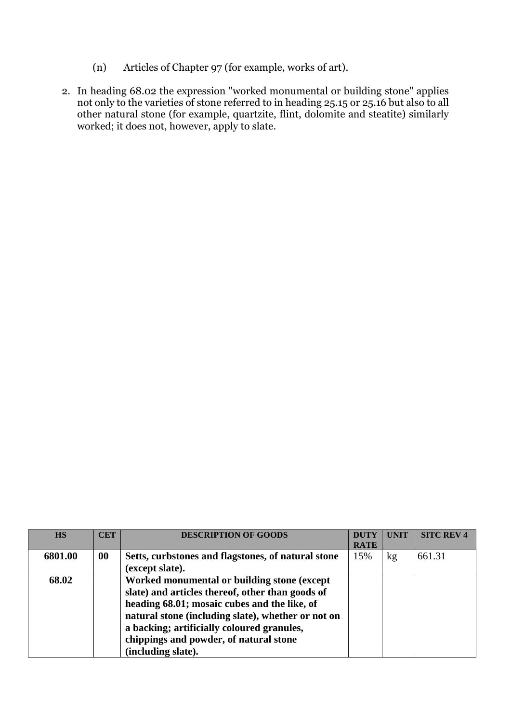- (n) Articles of Chapter 97 (for example, works of art).
- 2. In heading 68.02 the expression "worked monumental or building stone" applies not only to the varieties of stone referred to in heading 25.15 or 25.16 but also to all other natural stone (for example, quartzite, flint, dolomite and steatite) similarly worked; it does not, however, apply to slate.

| <b>HS</b> | <b>CET</b> | <b>DESCRIPTION OF GOODS</b>                        | <b>DUTY</b> | <b>UNIT</b> | <b>SITC REV 4</b> |
|-----------|------------|----------------------------------------------------|-------------|-------------|-------------------|
|           |            |                                                    | <b>RATE</b> |             |                   |
| 6801.00   | 00         | Setts, curbstones and flagstones, of natural stone | 15%         | kg          | 661.31            |
|           |            | (except slate).                                    |             |             |                   |
| 68.02     |            | Worked monumental or building stone (except        |             |             |                   |
|           |            | slate) and articles thereof, other than goods of   |             |             |                   |
|           |            | heading 68.01; mosaic cubes and the like, of       |             |             |                   |
|           |            | natural stone (including slate), whether or not on |             |             |                   |
|           |            | a backing; artificially coloured granules,         |             |             |                   |
|           |            | chippings and powder, of natural stone             |             |             |                   |
|           |            | (including slate).                                 |             |             |                   |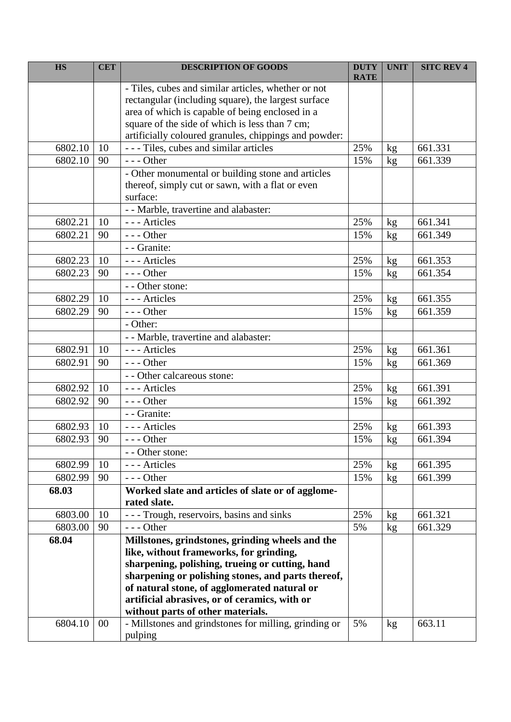| <b>HS</b> | <b>CET</b> | <b>DESCRIPTION OF GOODS</b>                                       | <b>DUTY</b><br><b>RATE</b> | <b>UNIT</b> | <b>SITC REV 4</b> |
|-----------|------------|-------------------------------------------------------------------|----------------------------|-------------|-------------------|
|           |            | - Tiles, cubes and similar articles, whether or not               |                            |             |                   |
|           |            | rectangular (including square), the largest surface               |                            |             |                   |
|           |            | area of which is capable of being enclosed in a                   |                            |             |                   |
|           |            | square of the side of which is less than 7 cm;                    |                            |             |                   |
|           |            | artificially coloured granules, chippings and powder:             |                            |             |                   |
| 6802.10   | 10         | - - - Tiles, cubes and similar articles                           | 25%                        | kg          | 661.331           |
| 6802.10   | 90         | $- -$ Other                                                       | 15%                        | kg          | 661.339           |
|           |            | - Other monumental or building stone and articles                 |                            |             |                   |
|           |            | thereof, simply cut or sawn, with a flat or even                  |                            |             |                   |
|           |            | surface:                                                          |                            |             |                   |
|           |            | - - Marble, travertine and alabaster:                             |                            |             |                   |
| 6802.21   | 10         | --- Articles                                                      | 25%                        | kg          | 661.341           |
| 6802.21   | 90         | $--$ Other                                                        | 15%                        | kg          | 661.349           |
|           |            | - - Granite:                                                      |                            |             |                   |
| 6802.23   | 10         | --- Articles                                                      | 25%                        | kg          | 661.353           |
| 6802.23   | 90         | $--$ Other                                                        | 15%                        | kg          | 661.354           |
|           |            | - - Other stone:                                                  |                            |             |                   |
| 6802.29   | 10         | --- Articles                                                      | 25%                        | kg          | 661.355           |
| 6802.29   | 90         | $--$ Other                                                        | 15%                        | kg          | 661.359           |
|           |            | - Other:                                                          |                            |             |                   |
|           |            | - - Marble, travertine and alabaster:                             |                            |             |                   |
| 6802.91   | 10         | --- Articles                                                      | 25%                        | kg          | 661.361           |
| 6802.91   | 90         | $--$ Other                                                        | 15%                        | kg          | 661.369           |
|           |            | - - Other calcareous stone:                                       |                            |             |                   |
| 6802.92   | 10         | --- Articles                                                      | 25%                        | kg          | 661.391           |
| 6802.92   | 90         | $--$ Other                                                        | 15%                        | kg          | 661.392           |
|           |            | - - Granite:                                                      |                            |             |                   |
| 6802.93   | 10         | --- Articles                                                      | 25%                        | kg          | 661.393           |
| 6802.93   | 90         | $--$ Other                                                        | 15%                        | kg          | 661.394           |
|           |            | - - Other stone:                                                  |                            |             |                   |
| 6802.99   | 10         | --- Articles                                                      | 25%                        | kg          | 661.395           |
| 6802.99   | 90         | $--$ Other                                                        | 15%                        | kg          | 661.399           |
| 68.03     |            | Worked slate and articles of slate or of agglome-<br>rated slate. |                            |             |                   |
| 6803.00   | 10         | - - - Trough, reservoirs, basins and sinks                        | 25%                        | kg          | 661.321           |
| 6803.00   | 90         | $--$ Other                                                        | 5%                         | kg          | 661.329           |
| 68.04     |            | Millstones, grindstones, grinding wheels and the                  |                            |             |                   |
|           |            | like, without frameworks, for grinding,                           |                            |             |                   |
|           |            | sharpening, polishing, trueing or cutting, hand                   |                            |             |                   |
|           |            | sharpening or polishing stones, and parts thereof,                |                            |             |                   |
|           |            | of natural stone, of agglomerated natural or                      |                            |             |                   |
|           |            | artificial abrasives, or of ceramics, with or                     |                            |             |                   |
|           |            | without parts of other materials.                                 |                            |             |                   |
| 6804.10   | $00\,$     | - Millstones and grindstones for milling, grinding or             | 5%                         | kg          | 663.11            |
|           |            | pulping                                                           |                            |             |                   |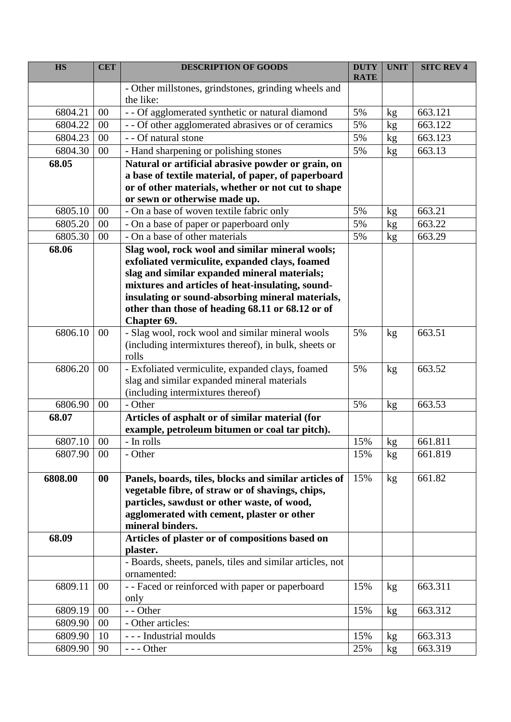| <b>HS</b> | <b>CET</b> | <b>DESCRIPTION OF GOODS</b>                                       | <b>DUTY</b><br><b>RATE</b> | <b>UNIT</b> | <b>SITC REV 4</b> |
|-----------|------------|-------------------------------------------------------------------|----------------------------|-------------|-------------------|
|           |            | - Other millstones, grindstones, grinding wheels and<br>the like: |                            |             |                   |
| 6804.21   | 00         | - - Of agglomerated synthetic or natural diamond                  | 5%                         | kg          | 663.121           |
| 6804.22   | $00\,$     | - - Of other agglomerated abrasives or of ceramics                | 5%                         | kg          | 663.122           |
| 6804.23   | 00         | - - Of natural stone                                              | 5%                         | kg          | 663.123           |
| 6804.30   | 00         | - Hand sharpening or polishing stones                             | 5%                         | kg          | 663.13            |
| 68.05     |            | Natural or artificial abrasive powder or grain, on                |                            |             |                   |
|           |            | a base of textile material, of paper, of paperboard               |                            |             |                   |
|           |            | or of other materials, whether or not cut to shape                |                            |             |                   |
|           |            | or sewn or otherwise made up.                                     |                            |             |                   |
| 6805.10   | 00         | - On a base of woven textile fabric only                          | 5%                         | kg          | 663.21            |
| 6805.20   | 00         | - On a base of paper or paperboard only                           | 5%                         | kg          | 663.22            |
| 6805.30   | 00         | - On a base of other materials                                    | 5%                         | kg          | 663.29            |
| 68.06     |            | Slag wool, rock wool and similar mineral wools;                   |                            |             |                   |
|           |            | exfoliated vermiculite, expanded clays, foamed                    |                            |             |                   |
|           |            | slag and similar expanded mineral materials;                      |                            |             |                   |
|           |            | mixtures and articles of heat-insulating, sound-                  |                            |             |                   |
|           |            | insulating or sound-absorbing mineral materials,                  |                            |             |                   |
|           |            | other than those of heading 68.11 or 68.12 or of                  |                            |             |                   |
| 6806.10   | 00         | Chapter 69.<br>- Slag wool, rock wool and similar mineral wools   | 5%                         | kg          | 663.51            |
|           |            | (including intermixtures thereof), in bulk, sheets or             |                            |             |                   |
|           |            | rolls                                                             |                            |             |                   |
| 6806.20   | $00\,$     | - Exfoliated vermiculite, expanded clays, foamed                  | 5%                         | kg          | 663.52            |
|           |            | slag and similar expanded mineral materials                       |                            |             |                   |
|           |            | (including intermixtures thereof)                                 |                            |             |                   |
| 6806.90   | 00         | - Other                                                           | 5%                         | kg          | 663.53            |
| 68.07     |            | Articles of asphalt or of similar material (for                   |                            |             |                   |
|           |            | example, petroleum bitumen or coal tar pitch).                    |                            |             |                   |
| 6807.10   | 00         | - In rolls                                                        | 15%                        | kg          | 661.811           |
| 6807.90   | 00         | - Other                                                           | 15%                        | kg          | 661.819           |
| 6808.00   | $\bf{00}$  | Panels, boards, tiles, blocks and similar articles of             | 15%                        | kg          | 661.82            |
|           |            | vegetable fibre, of straw or of shavings, chips,                  |                            |             |                   |
|           |            | particles, sawdust or other waste, of wood,                       |                            |             |                   |
|           |            | agglomerated with cement, plaster or other                        |                            |             |                   |
|           |            | mineral binders.                                                  |                            |             |                   |
| 68.09     |            | Articles of plaster or of compositions based on                   |                            |             |                   |
|           |            | plaster.                                                          |                            |             |                   |
|           |            | - Boards, sheets, panels, tiles and similar articles, not         |                            |             |                   |
|           |            | ornamented:                                                       |                            |             |                   |
| 6809.11   | $00\,$     | - - Faced or reinforced with paper or paperboard                  | 15%                        | kg          | 663.311           |
|           |            | only                                                              |                            |             |                   |
| 6809.19   | 00         | - - Other                                                         | 15%                        | kg          | 663.312           |
| 6809.90   | 00         | - Other articles:                                                 |                            |             |                   |
| 6809.90   | 10         | --- Industrial moulds                                             | 15%                        | kg          | 663.313           |
| 6809.90   | 90         | $--$ Other                                                        | 25%                        | kg          | 663.319           |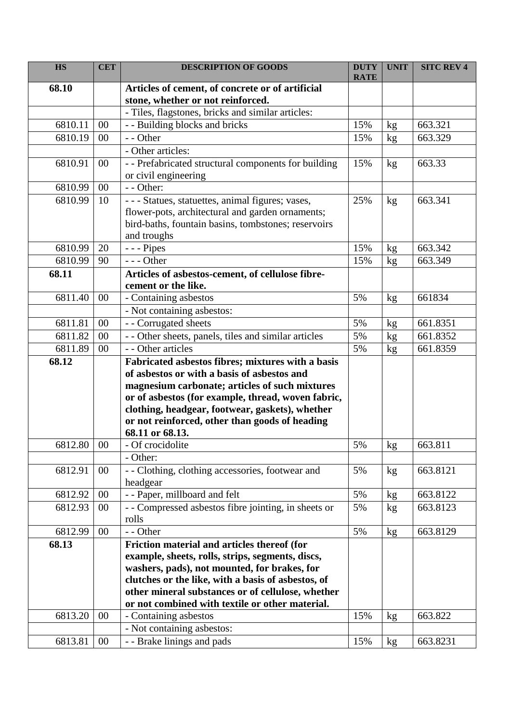| <b>HS</b> | <b>CET</b> | <b>DESCRIPTION OF GOODS</b>                                       | <b>DUTY</b> | <b>UNIT</b> | <b>SITC REV 4</b> |
|-----------|------------|-------------------------------------------------------------------|-------------|-------------|-------------------|
| 68.10     |            | Articles of cement, of concrete or of artificial                  | <b>RATE</b> |             |                   |
|           |            | stone, whether or not reinforced.                                 |             |             |                   |
|           |            | - Tiles, flagstones, bricks and similar articles:                 |             |             |                   |
| 6810.11   | 00         | - - Building blocks and bricks                                    | 15%         | kg          | 663.321           |
| 6810.19   | 00         | - - Other                                                         | 15%         | kg          | 663.329           |
|           |            | - Other articles:                                                 |             |             |                   |
| 6810.91   | $00\,$     | - - Prefabricated structural components for building              | 15%         | kg          | 663.33            |
|           |            | or civil engineering                                              |             |             |                   |
| 6810.99   | $00\,$     | - - Other:                                                        |             |             |                   |
| 6810.99   | 10         | - - - Statues, statuettes, animal figures; vases,                 | 25%         | kg          | 663.341           |
|           |            | flower-pots, architectural and garden ornaments;                  |             |             |                   |
|           |            | bird-baths, fountain basins, tombstones; reservoirs               |             |             |                   |
|           |            | and troughs                                                       |             |             |                   |
| 6810.99   | 20         | - - - Pipes                                                       | 15%         | kg          | 663.342           |
| 6810.99   | 90         | $--$ Other                                                        | 15%         | kg          | 663.349           |
| 68.11     |            | Articles of asbestos-cement, of cellulose fibre-                  |             |             |                   |
|           |            | cement or the like.                                               |             |             |                   |
| 6811.40   | 00         | - Containing asbestos                                             | 5%          | kg          | 661834            |
|           |            | - Not containing asbestos:                                        |             |             |                   |
| 6811.81   | 00         | - - Corrugated sheets                                             | 5%          | kg          | 661.8351          |
| 6811.82   | 00         | - - Other sheets, panels, tiles and similar articles              | 5%          | kg          | 661.8352          |
| 6811.89   | $00\,$     | - - Other articles                                                | 5%          | kg          | 661.8359          |
| 68.12     |            | Fabricated asbestos fibres; mixtures with a basis                 |             |             |                   |
|           |            | of asbestos or with a basis of asbestos and                       |             |             |                   |
|           |            | magnesium carbonate; articles of such mixtures                    |             |             |                   |
|           |            | or of asbestos (for example, thread, woven fabric,                |             |             |                   |
|           |            | clothing, headgear, footwear, gaskets), whether                   |             |             |                   |
|           |            | or not reinforced, other than goods of heading<br>68.11 or 68.13. |             |             |                   |
| 6812.80   | 00         | Of crocidolite                                                    | $5\%$       |             | 663.811           |
|           |            | - Other:                                                          |             | kg          |                   |
| 6812.91   | 00         | - - Clothing, clothing accessories, footwear and                  | 5%          |             | 663.8121          |
|           |            | headgear                                                          |             | kg          |                   |
| 6812.92   | 00         | - - Paper, millboard and felt                                     | 5%          | kg          | 663.8122          |
| 6812.93   | 00         | -- Compressed asbestos fibre jointing, in sheets or               | 5%          | kg          | 663.8123          |
|           |            | rolls                                                             |             |             |                   |
| 6812.99   | 00         | - - Other                                                         | 5%          | kg          | 663.8129          |
| 68.13     |            | Friction material and articles thereof (for                       |             |             |                   |
|           |            | example, sheets, rolls, strips, segments, discs,                  |             |             |                   |
|           |            | washers, pads), not mounted, for brakes, for                      |             |             |                   |
|           |            | clutches or the like, with a basis of asbestos, of                |             |             |                   |
|           |            | other mineral substances or of cellulose, whether                 |             |             |                   |
|           |            | or not combined with textile or other material.                   |             |             |                   |
| 6813.20   | $00\,$     | - Containing asbestos                                             | 15%         | kg          | 663.822           |
|           |            | - Not containing asbestos:                                        |             |             |                   |
| 6813.81   | $00\,$     | - - Brake linings and pads                                        | 15%         | kg          | 663.8231          |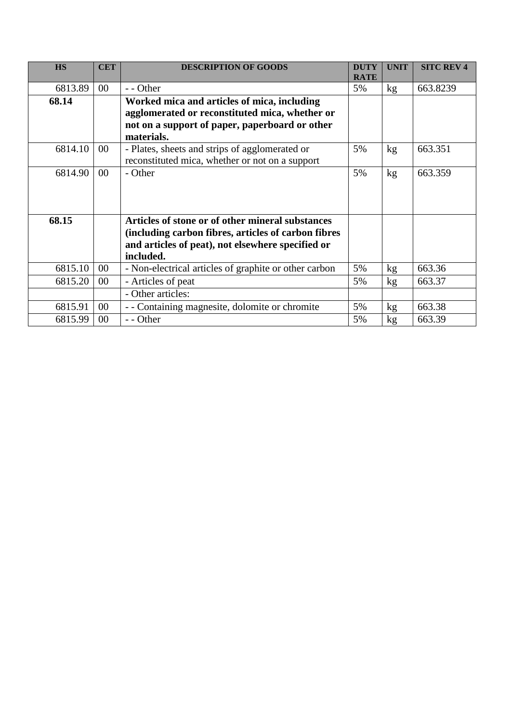| <b>HS</b> | <b>CET</b> | <b>DESCRIPTION OF GOODS</b>                           | <b>DUTY</b> | <b>UNIT</b> | <b>SITC REV 4</b> |
|-----------|------------|-------------------------------------------------------|-------------|-------------|-------------------|
|           |            |                                                       | <b>RATE</b> |             |                   |
| 6813.89   | 00         | - - Other                                             | 5%          | kg          | 663.8239          |
| 68.14     |            | Worked mica and articles of mica, including           |             |             |                   |
|           |            | agglomerated or reconstituted mica, whether or        |             |             |                   |
|           |            | not on a support of paper, paperboard or other        |             |             |                   |
|           |            | materials.                                            |             |             |                   |
| 6814.10   | $00\,$     | - Plates, sheets and strips of agglomerated or        | 5%          | kg          | 663.351           |
|           |            | reconstituted mica, whether or not on a support       |             |             |                   |
| 6814.90   | $00\,$     | - Other                                               | 5%          | kg          | 663.359           |
|           |            |                                                       |             |             |                   |
|           |            |                                                       |             |             |                   |
|           |            |                                                       |             |             |                   |
| 68.15     |            | Articles of stone or of other mineral substances      |             |             |                   |
|           |            | (including carbon fibres, articles of carbon fibres   |             |             |                   |
|           |            | and articles of peat), not elsewhere specified or     |             |             |                   |
|           |            | included.                                             |             |             |                   |
| 6815.10   | $00\,$     | - Non-electrical articles of graphite or other carbon | 5%          | kg          | 663.36            |
| 6815.20   | $00\,$     | - Articles of peat                                    | 5%          | kg          | 663.37            |
|           |            | - Other articles:                                     |             |             |                   |
| 6815.91   | 00         | - - Containing magnesite, dolomite or chromite        | 5%          | kg          | 663.38            |
| 6815.99   | 00         | - - Other                                             | 5%          | kg          | 663.39            |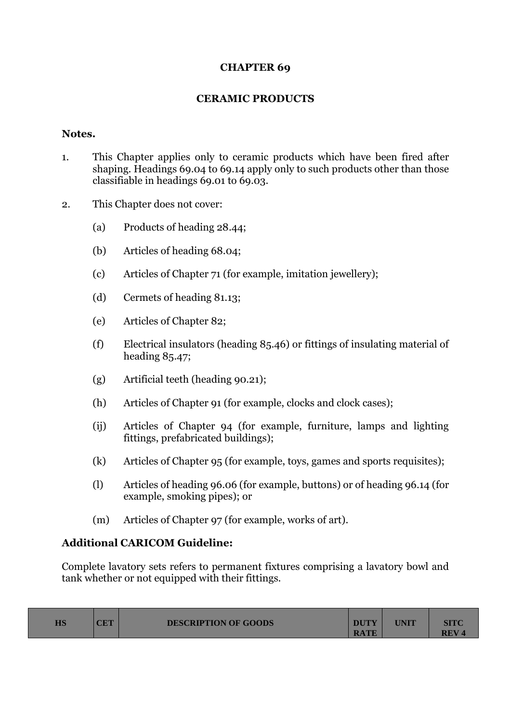# **CHAPTER 69**

# **CERAMIC PRODUCTS**

### **Notes.**

- 1. This Chapter applies only to ceramic products which have been fired after shaping. Headings 69.04 to 69.14 apply only to such products other than those classifiable in headings 69.01 to 69.03.
- 2. This Chapter does not cover:
	- (a) Products of heading 28.44;
	- (b) Articles of heading 68.04;
	- (c) Articles of Chapter 71 (for example, imitation jewellery);
	- (d) Cermets of heading 81.13;
	- (e) Articles of Chapter 82;
	- (f) Electrical insulators (heading 85.46) or fittings of insulating material of heading 85.47;
	- (g) Artificial teeth (heading 90.21);
	- (h) Articles of Chapter 91 (for example, clocks and clock cases);
	- (ij) Articles of Chapter 94 (for example, furniture, lamps and lighting fittings, prefabricated buildings);
	- (k) Articles of Chapter 95 (for example, toys, games and sports requisites);
	- (l) Articles of heading 96.06 (for example, buttons) or of heading 96.14 (for example, smoking pipes); or
	- (m) Articles of Chapter 97 (for example, works of art).

# **Additional CARICOM Guideline:**

Complete lavatory sets refers to permanent fixtures comprising a lavatory bowl and tank whether or not equipped with their fittings.

| $_{\rm HS}$<br>$\cap$ $\Box$ $\top$<br><b>DESCRIPTION OF GOODS</b><br>UD 1 | <b>DUTY</b><br><b>RATE</b> | UNIT | SITC<br><b>REV4</b> |
|----------------------------------------------------------------------------|----------------------------|------|---------------------|
|----------------------------------------------------------------------------|----------------------------|------|---------------------|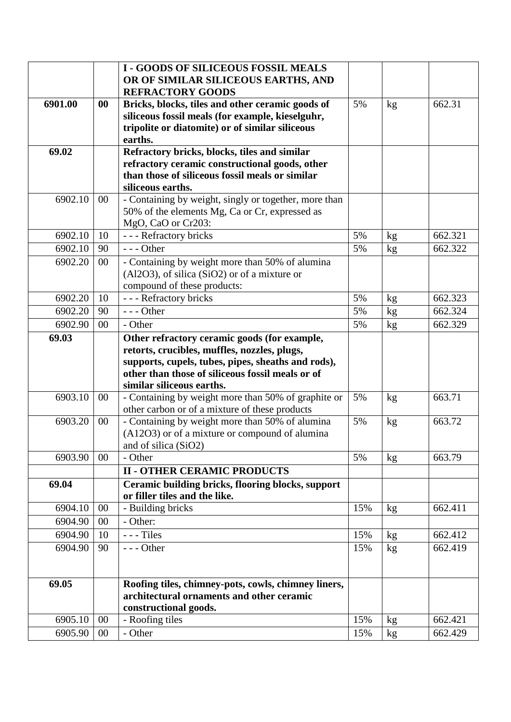|         |        | <b>I - GOODS OF SILICEOUS FOSSIL MEALS</b>                                         |     |    |         |
|---------|--------|------------------------------------------------------------------------------------|-----|----|---------|
|         |        | OR OF SIMILAR SILICEOUS EARTHS, AND<br><b>REFRACTORY GOODS</b>                     |     |    |         |
| 6901.00 | 00     | Bricks, blocks, tiles and other ceramic goods of                                   | 5%  | kg | 662.31  |
|         |        | siliceous fossil meals (for example, kieselguhr,                                   |     |    |         |
|         |        | tripolite or diatomite) or of similar siliceous                                    |     |    |         |
|         |        | earths.                                                                            |     |    |         |
| 69.02   |        | Refractory bricks, blocks, tiles and similar                                       |     |    |         |
|         |        | refractory ceramic constructional goods, other                                     |     |    |         |
|         |        | than those of siliceous fossil meals or similar                                    |     |    |         |
|         |        | siliceous earths.                                                                  |     |    |         |
| 6902.10 | $00\,$ | - Containing by weight, singly or together, more than                              |     |    |         |
|         |        | 50% of the elements Mg, Ca or Cr, expressed as                                     |     |    |         |
|         |        | MgO, CaO or Cr203:                                                                 |     |    |         |
| 6902.10 | 10     | - - - Refractory bricks                                                            | 5%  | kg | 662.321 |
| 6902.10 | 90     | $--$ Other                                                                         | 5%  | kg | 662.322 |
| 6902.20 | $00\,$ | - Containing by weight more than 50% of alumina                                    |     |    |         |
|         |        | $(A12O3)$ , of silica $(SiO2)$ or of a mixture or                                  |     |    |         |
|         |        | compound of these products:                                                        |     |    |         |
| 6902.20 | 10     | - - - Refractory bricks                                                            | 5%  | kg | 662.323 |
| 6902.20 | 90     | $--$ Other                                                                         | 5%  | kg | 662.324 |
| 6902.90 | $00\,$ | - Other                                                                            | 5%  | kg | 662.329 |
| 69.03   |        | Other refractory ceramic goods (for example,                                       |     |    |         |
|         |        | retorts, crucibles, muffles, nozzles, plugs,                                       |     |    |         |
|         |        | supports, cupels, tubes, pipes, sheaths and rods),                                 |     |    |         |
|         |        | other than those of siliceous fossil meals or of                                   |     |    |         |
|         |        | similar siliceous earths.                                                          |     |    |         |
| 6903.10 | $00\,$ | - Containing by weight more than 50% of graphite or                                | 5%  | kg | 663.71  |
|         |        | other carbon or of a mixture of these products                                     |     |    |         |
| 6903.20 | $00\,$ | - Containing by weight more than 50% of alumina                                    | 5%  | kg | 663.72  |
|         |        | (A12O3) or of a mixture or compound of alumina                                     |     |    |         |
|         |        | and of silica (SiO2)                                                               |     |    |         |
| 6903.90 | $00\,$ | - Other                                                                            | 5%  | kg | 663.79  |
|         |        | <b>II - OTHER CERAMIC PRODUCTS</b>                                                 |     |    |         |
| 69.04   |        | Ceramic building bricks, flooring blocks, support<br>or filler tiles and the like. |     |    |         |
| 6904.10 | $00\,$ | - Building bricks                                                                  | 15% | kg | 662.411 |
| 6904.90 | $00\,$ | - Other:                                                                           |     |    |         |
| 6904.90 | 10     | $--$ Tiles                                                                         | 15% | kg | 662.412 |
| 6904.90 | 90     | $\overline{-}$ - - Other                                                           | 15% | kg | 662.419 |
|         |        |                                                                                    |     |    |         |
| 69.05   |        | Roofing tiles, chimney-pots, cowls, chimney liners,                                |     |    |         |
|         |        | architectural ornaments and other ceramic                                          |     |    |         |
|         |        | constructional goods.                                                              |     |    |         |
| 6905.10 | $00\,$ | - Roofing tiles                                                                    | 15% | kg | 662.421 |
| 6905.90 | $00\,$ | - Other                                                                            | 15% | kg | 662.429 |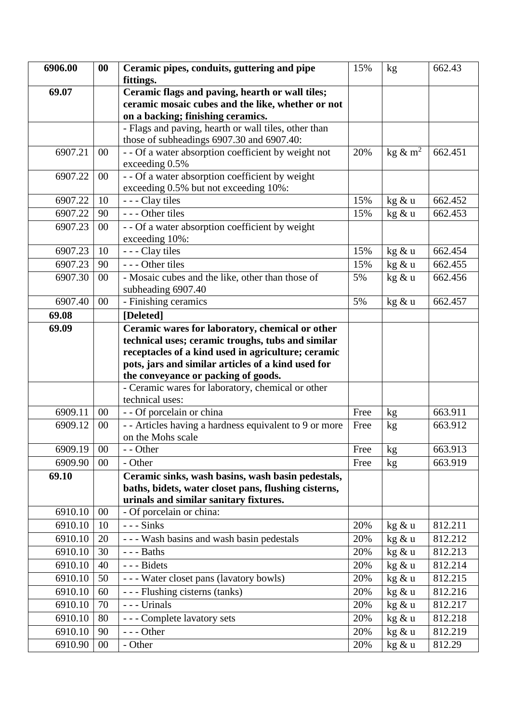| 6906.00 | $\bf{00}$ | Ceramic pipes, conduits, guttering and pipe                                            | 15%  | kg                     | 662.43  |
|---------|-----------|----------------------------------------------------------------------------------------|------|------------------------|---------|
|         |           | fittings.                                                                              |      |                        |         |
| 69.07   |           | Ceramic flags and paving, hearth or wall tiles;                                        |      |                        |         |
|         |           | ceramic mosaic cubes and the like, whether or not<br>on a backing; finishing ceramics. |      |                        |         |
|         |           | - Flags and paving, hearth or wall tiles, other than                                   |      |                        |         |
|         |           | those of subheadings 6907.30 and 6907.40:                                              |      |                        |         |
| 6907.21 | $00\,$    | - - Of a water absorption coefficient by weight not                                    | 20%  | kg $\&$ m <sup>2</sup> | 662.451 |
|         |           | exceeding 0.5%                                                                         |      |                        |         |
| 6907.22 | $00\,$    | - - Of a water absorption coefficient by weight                                        |      |                        |         |
|         |           | exceeding 0.5% but not exceeding 10%:                                                  |      |                        |         |
| 6907.22 | 10        | - - - Clay tiles                                                                       | 15%  | kg & u                 | 662.452 |
| 6907.22 | 90        | $- -$ Other tiles                                                                      | 15%  | kg & u                 | 662.453 |
| 6907.23 | $00\,$    | - - Of a water absorption coefficient by weight                                        |      |                        |         |
|         |           | exceeding 10%:                                                                         |      |                        |         |
| 6907.23 | 10        | - - - Clay tiles                                                                       | 15%  | kg & u                 | 662.454 |
| 6907.23 | 90        | --- Other tiles                                                                        | 15%  | kg & u                 | 662.455 |
| 6907.30 | $00\,$    | - Mosaic cubes and the like, other than those of                                       | 5%   | kg & u                 | 662.456 |
|         |           | subheading 6907.40                                                                     |      |                        |         |
| 6907.40 | $00\,$    | - Finishing ceramics                                                                   | 5%   | kg & u                 | 662.457 |
| 69.08   |           | [Deleted]                                                                              |      |                        |         |
| 69.09   |           | Ceramic wares for laboratory, chemical or other                                        |      |                        |         |
|         |           | technical uses; ceramic troughs, tubs and similar                                      |      |                        |         |
|         |           | receptacles of a kind used in agriculture; ceramic                                     |      |                        |         |
|         |           | pots, jars and similar articles of a kind used for                                     |      |                        |         |
|         |           | the conveyance or packing of goods.                                                    |      |                        |         |
|         |           | - Ceramic wares for laboratory, chemical or other                                      |      |                        |         |
|         |           | technical uses:                                                                        |      |                        |         |
| 6909.11 | $00\,$    | - - Of porcelain or china                                                              | Free | kg                     | 663.911 |
| 6909.12 | 00        | - - Articles having a hardness equivalent to 9 or more                                 | Free | kg                     | 663.912 |
|         |           | on the Mohs scale                                                                      |      |                        |         |
| 6909.19 | $00\,$    | - - Other                                                                              | Free | kg                     | 663.913 |
| 6909.90 | $00\,$    | - Other                                                                                | Free | kg                     | 663.919 |
| 69.10   |           | Ceramic sinks, wash basins, wash basin pedestals,                                      |      |                        |         |
|         |           | baths, bidets, water closet pans, flushing cisterns,                                   |      |                        |         |
|         |           | urinals and similar sanitary fixtures.                                                 |      |                        |         |
| 6910.10 | $00\,$    | - Of porcelain or china:                                                               |      |                        |         |
| 6910.10 | 10        | $--$ Sinks                                                                             | 20%  | kg & u                 | 812.211 |
| 6910.10 | 20        | - - - Wash basins and wash basin pedestals                                             | 20%  | kg & u                 | 812.212 |
| 6910.10 | 30        | $--$ Baths                                                                             | 20%  | kg & u                 | 812.213 |
| 6910.10 | 40        | --- Bidets                                                                             | 20%  | kg & u                 | 812.214 |
| 6910.10 | 50        | --- Water closet pans (lavatory bowls)                                                 | 20%  | kg & u                 | 812.215 |
| 6910.10 | 60        | - - - Flushing cisterns (tanks)                                                        | 20%  | kg & u                 | 812.216 |
| 6910.10 | 70        | --- Urinals                                                                            | 20%  | kg & u                 | 812.217 |
| 6910.10 | 80        |                                                                                        | 20%  |                        |         |
|         |           | --- Complete lavatory sets                                                             |      | kg & u                 | 812.218 |
| 6910.10 | 90        | $--$ Other                                                                             | 20%  | kg & u                 | 812.219 |
| 6910.90 | $00\,$    | - Other                                                                                | 20%  | kg & u                 | 812.29  |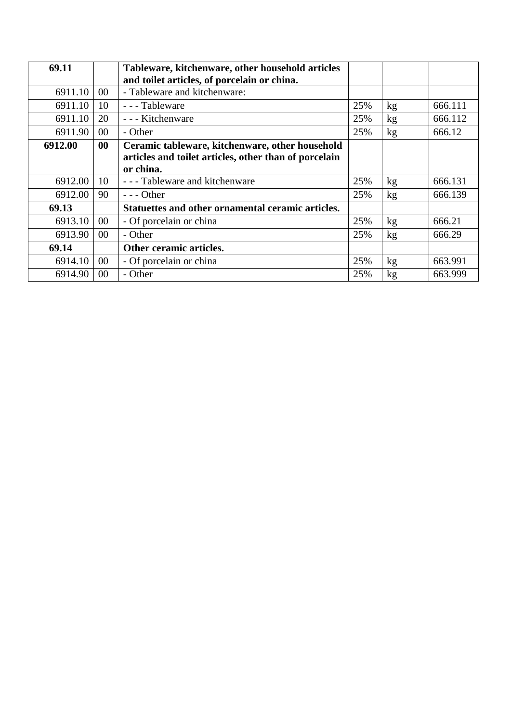| 69.11   |           | Tableware, kitchenware, other household articles      |     |    |         |
|---------|-----------|-------------------------------------------------------|-----|----|---------|
|         |           | and toilet articles, of porcelain or china.           |     |    |         |
| 6911.10 | $00\,$    | - Tableware and kitchenware:                          |     |    |         |
| 6911.10 | 10        | - - - Tableware                                       | 25% | kg | 666.111 |
| 6911.10 | 20        | - - - Kitchenware                                     | 25% | kg | 666.112 |
| 6911.90 | $00\,$    | - Other                                               | 25% | kg | 666.12  |
| 6912.00 | $\bf{00}$ | Ceramic tableware, kitchenware, other household       |     |    |         |
|         |           | articles and toilet articles, other than of porcelain |     |    |         |
|         |           | or china.                                             |     |    |         |
| 6912.00 | 10        | - - - Tableware and kitchenware                       | 25% | kg | 666.131 |
| 6912.00 | 90        | $--$ Other                                            | 25% | kg | 666.139 |
| 69.13   |           | Statuettes and other ornamental ceramic articles.     |     |    |         |
| 6913.10 | $00\,$    | - Of porcelain or china                               | 25% | kg | 666.21  |
| 6913.90 | $00\,$    | - Other                                               | 25% | kg | 666.29  |
| 69.14   |           | Other ceramic articles.                               |     |    |         |
| 6914.10 | $00\,$    | - Of porcelain or china                               | 25% | kg | 663.991 |
| 6914.90 | $00\,$    | - Other                                               | 25% | kg | 663.999 |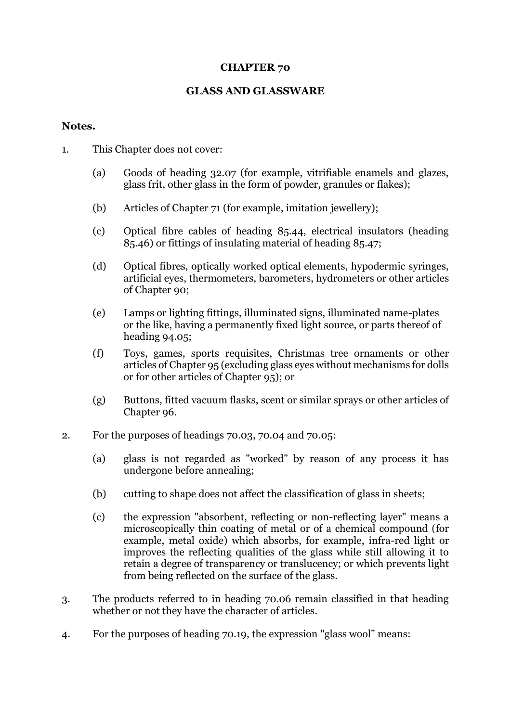## **CHAPTER 70**

## **GLASS AND GLASSWARE**

#### **Notes.**

- 1. This Chapter does not cover:
	- (a) Goods of heading 32.07 (for example, vitrifiable enamels and glazes, glass frit, other glass in the form of powder, granules or flakes);
	- (b) Articles of Chapter 71 (for example, imitation jewellery);
	- (c) Optical fibre cables of heading 85.44, electrical insulators (heading 85.46) or fittings of insulating material of heading 85.47;
	- (d) Optical fibres, optically worked optical elements, hypodermic syringes, artificial eyes, thermometers, barometers, hydrometers or other articles of Chapter 90;
	- (e) Lamps or lighting fittings, illuminated signs, illuminated name-plates or the like, having a permanently fixed light source, or parts thereof of heading 94.05;
	- (f) Toys, games, sports requisites, Christmas tree ornaments or other articles of Chapter 95 (excluding glass eyes without mechanisms for dolls or for other articles of Chapter 95); or
	- (g) Buttons, fitted vacuum flasks, scent or similar sprays or other articles of Chapter 96.
- 2. For the purposes of headings 70.03, 70.04 and 70.05:
	- (a) glass is not regarded as "worked" by reason of any process it has undergone before annealing;
	- (b) cutting to shape does not affect the classification of glass in sheets;
	- (c) the expression "absorbent, reflecting or non-reflecting layer" means a microscopically thin coating of metal or of a chemical compound (for example, metal oxide) which absorbs, for example, infra-red light or improves the reflecting qualities of the glass while still allowing it to retain a degree of transparency or translucency; or which prevents light from being reflected on the surface of the glass.
- 3. The products referred to in heading 70.06 remain classified in that heading whether or not they have the character of articles.
- 4. For the purposes of heading 70.19, the expression "glass wool" means: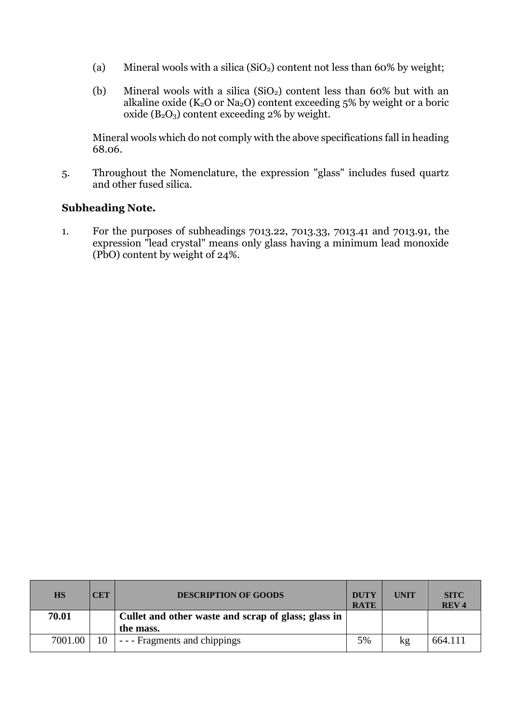- (a) Mineral wools with a silica  $(SiO<sub>2</sub>)$  content not less than 60% by weight;
- (b) Mineral wools with a silica  $(SiO<sub>2</sub>)$  content less than 60% but with an alkaline oxide ( $K_2O$  or  $Na_2O$ ) content exceeding 5% by weight or a boric oxide  $(B_2O_3)$  content exceeding 2% by weight.

Mineral wools which do not comply with the above specifications fall in heading 68.06.

5. Throughout the Nomenclature, the expression "glass" includes fused quartz and other fused silica.

# **Subheading Note.**

1. For the purposes of subheadings 7013.22, 7013.33, 7013.41 and 7013.91, the expression "lead crystal" means only glass having a minimum lead monoxide (PbO) content by weight of 24%.

| <b>HS</b> | CET | <b>DESCRIPTION OF GOODS</b>                         | <b>DUTY</b><br><b>RATE</b> | <b>UNIT</b> | <b>SITC</b><br><b>REV4</b> |
|-----------|-----|-----------------------------------------------------|----------------------------|-------------|----------------------------|
| 70.01     |     | Cullet and other waste and scrap of glass; glass in |                            |             |                            |
|           |     | the mass.                                           |                            |             |                            |
| 7001.00   | 10  | - - - Fragments and chippings                       | 5%                         | kg          | 664.111                    |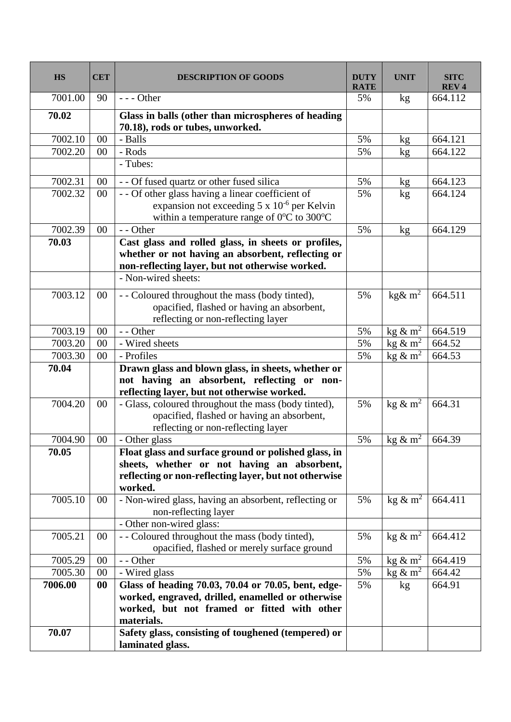| <b>HS</b>        | <b>CET</b> | <b>DESCRIPTION OF GOODS</b>                                                                                                                                                        | <b>DUTY</b><br><b>RATE</b> | <b>UNIT</b>                         | <b>SITC</b><br><b>REV4</b> |
|------------------|------------|------------------------------------------------------------------------------------------------------------------------------------------------------------------------------------|----------------------------|-------------------------------------|----------------------------|
| 7001.00          | 90         | $--$ Other                                                                                                                                                                         | 5%                         | kg                                  | 664.112                    |
| 70.02            |            | Glass in balls (other than microspheres of heading<br>70.18), rods or tubes, unworked.                                                                                             |                            |                                     |                            |
| 7002.10          | 00         | - Balls                                                                                                                                                                            | 5%                         | kg                                  | 664.121                    |
| 7002.20          | 00         | - Rods                                                                                                                                                                             | 5%                         | kg                                  | 664.122                    |
|                  |            | - Tubes:                                                                                                                                                                           |                            |                                     |                            |
| 7002.31          | 00         | - - Of fused quartz or other fused silica                                                                                                                                          | 5%                         | kg                                  | 664.123                    |
| 7002.32          | $00\,$     | - - Of other glass having a linear coefficient of<br>expansion not exceeding $5 \times 10^{-6}$ per Kelvin<br>within a temperature range of 0°C to 300°C                           | 5%                         | kg                                  | 664.124                    |
| 7002.39          | 00         | - - Other                                                                                                                                                                          | 5%                         | $\mathbf{kg}$                       | 664.129                    |
| 70.03            |            | Cast glass and rolled glass, in sheets or profiles,<br>whether or not having an absorbent, reflecting or<br>non-reflecting layer, but not otherwise worked.<br>- Non-wired sheets: |                            |                                     |                            |
| 7003.12          | $00\,$     | - - Coloured throughout the mass (body tinted),<br>opacified, flashed or having an absorbent,<br>reflecting or non-reflecting layer                                                | 5%                         | kg& $m^2$                           | 664.511                    |
| 7003.19          | 00         | - - Other                                                                                                                                                                          | 5%                         | kg & $m^2$                          | 664.519                    |
| 7003.20          | 00         | - Wired sheets                                                                                                                                                                     | 5%                         | $\text{kg} \& \text{m}^2$           | 664.52                     |
| 7003.30          | 00         | - Profiles                                                                                                                                                                         | 5%                         | $\overline{\text{kg }\&\text{m}^2}$ | 664.53                     |
| 70.04<br>7004.20 |            | Drawn glass and blown glass, in sheets, whether or<br>not having an absorbent, reflecting or non-<br>reflecting layer, but not otherwise worked.                                   |                            | kg & m <sup>2</sup>                 | 664.31                     |
|                  | 00         | - Glass, coloured throughout the mass (body tinted),<br>opacified, flashed or having an absorbent,<br>reflecting or non-reflecting layer                                           | 5%                         |                                     |                            |
| 7004.90          | 00         | - Other glass                                                                                                                                                                      | 5%                         | kg $\&$ m <sup>2</sup>              | 664.39                     |
| 70.05            |            | Float glass and surface ground or polished glass, in<br>sheets, whether or not having an absorbent,<br>reflecting or non-reflecting layer, but not otherwise<br>worked.            |                            |                                     |                            |
| 7005.10          | 00         | - Non-wired glass, having an absorbent, reflecting or<br>non-reflecting layer                                                                                                      | 5%                         | kg $\&$ m <sup>2</sup>              | 664.411                    |
|                  |            | - Other non-wired glass:                                                                                                                                                           |                            |                                     |                            |
| 7005.21          | 00         | - - Coloured throughout the mass (body tinted),<br>opacified, flashed or merely surface ground                                                                                     | 5%                         | kg $\&$ m <sup>2</sup>              | 664.412                    |
| 7005.29          | 00         | - - Other                                                                                                                                                                          | 5%                         | kg $\&$ m <sup>2</sup>              | 664.419                    |
| 7005.30          | 00         | - Wired glass                                                                                                                                                                      | 5%                         | kg $\&$ m <sup>2</sup>              | 664.42                     |
| 7006.00          | 00         | Glass of heading 70.03, 70.04 or 70.05, bent, edge-<br>worked, engraved, drilled, enamelled or otherwise<br>worked, but not framed or fitted with other<br>materials.              | 5%                         | kg                                  | 664.91                     |
| 70.07            |            | Safety glass, consisting of toughened (tempered) or<br>laminated glass.                                                                                                            |                            |                                     |                            |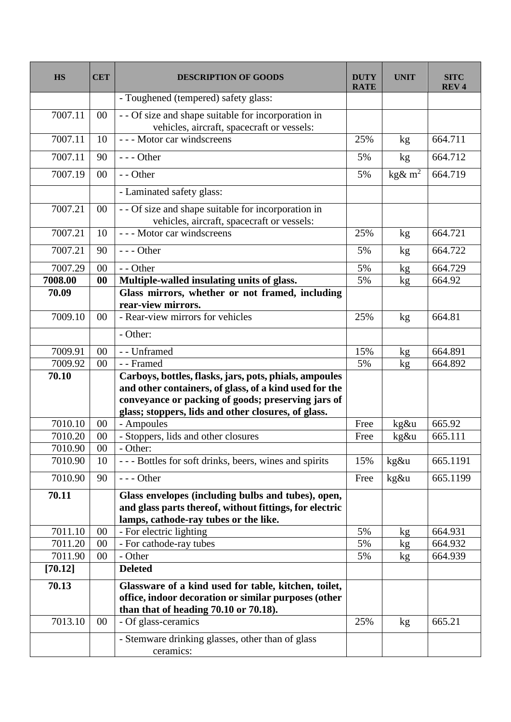| <b>HS</b> | <b>CET</b> | <b>DESCRIPTION OF GOODS</b>                                                                                                                                                                                                   | <b>DUTY</b><br><b>RATE</b> | <b>UNIT</b>                                | <b>SITC</b><br><b>REV4</b> |
|-----------|------------|-------------------------------------------------------------------------------------------------------------------------------------------------------------------------------------------------------------------------------|----------------------------|--------------------------------------------|----------------------------|
|           |            | - Toughened (tempered) safety glass:                                                                                                                                                                                          |                            |                                            |                            |
| 7007.11   | $00\,$     | -- Of size and shape suitable for incorporation in<br>vehicles, aircraft, spacecraft or vessels:                                                                                                                              |                            |                                            |                            |
| 7007.11   | 10         | --- Motor car windscreens                                                                                                                                                                                                     | 25%                        | kg                                         | 664.711                    |
| 7007.11   | 90         | $--$ Other                                                                                                                                                                                                                    | 5%                         | kg                                         | 664.712                    |
| 7007.19   | $00\,$     | - - Other                                                                                                                                                                                                                     | 5%                         | $\overline{\text{kg}}\text{\&} \text{m}^2$ | 664.719                    |
|           |            | - Laminated safety glass:                                                                                                                                                                                                     |                            |                                            |                            |
| 7007.21   | $00\,$     | - - Of size and shape suitable for incorporation in<br>vehicles, aircraft, spacecraft or vessels:                                                                                                                             |                            |                                            |                            |
| 7007.21   | 10         | --- Motor car windscreens                                                                                                                                                                                                     | 25%                        | kg                                         | 664.721                    |
| 7007.21   | 90         | $--$ Other                                                                                                                                                                                                                    | 5%                         | kg                                         | 664.722                    |
| 7007.29   | 00         | - - Other                                                                                                                                                                                                                     | 5%                         | kg                                         | 664.729                    |
| 7008.00   | 00         | Multiple-walled insulating units of glass.                                                                                                                                                                                    | 5%                         | kg                                         | 664.92                     |
| 70.09     |            | Glass mirrors, whether or not framed, including<br>rear-view mirrors.                                                                                                                                                         |                            |                                            |                            |
| 7009.10   | 00         | - Rear-view mirrors for vehicles                                                                                                                                                                                              | 25%                        | kg                                         | 664.81                     |
|           |            | - Other:                                                                                                                                                                                                                      |                            |                                            |                            |
| 7009.91   | 00         | - - Unframed                                                                                                                                                                                                                  | 15%                        | kg                                         | 664.891                    |
| 7009.92   | 00         | - - Framed                                                                                                                                                                                                                    | 5%                         | kg                                         | 664.892                    |
| 70.10     |            | Carboys, bottles, flasks, jars, pots, phials, ampoules<br>and other containers, of glass, of a kind used for the<br>conveyance or packing of goods; preserving jars of<br>glass; stoppers, lids and other closures, of glass. |                            |                                            |                            |
| 7010.10   | 00         | - Ampoules                                                                                                                                                                                                                    | Free                       | kg&u                                       | 665.92                     |
| 7010.20   | $00\,$     | - Stoppers, lids and other closures                                                                                                                                                                                           | Free                       | kg&u                                       | 665.111                    |
| 7010.90   | $00\,$     | - Other:                                                                                                                                                                                                                      |                            |                                            |                            |
| 7010.90   | 10         | --- Bottles for soft drinks, beers, wines and spirits                                                                                                                                                                         | 15%                        | kg&u                                       | 665.1191                   |
| 7010.90   | 90         | $--$ Other                                                                                                                                                                                                                    | Free                       | kg&u                                       | 665.1199                   |
| 70.11     |            | Glass envelopes (including bulbs and tubes), open,<br>and glass parts thereof, without fittings, for electric<br>lamps, cathode-ray tubes or the like.                                                                        |                            |                                            |                            |
| 7011.10   | 00         | - For electric lighting                                                                                                                                                                                                       | 5%                         | kg                                         | 664.931                    |
| 7011.20   | 00         | - For cathode-ray tubes                                                                                                                                                                                                       | 5%                         | kg                                         | 664.932                    |
| 7011.90   | 00         | - Other                                                                                                                                                                                                                       | 5%                         | kg                                         | 664.939                    |
| [70.12]   |            | <b>Deleted</b>                                                                                                                                                                                                                |                            |                                            |                            |
| 70.13     |            | Glassware of a kind used for table, kitchen, toilet,<br>office, indoor decoration or similar purposes (other<br>than that of heading 70.10 or 70.18).                                                                         |                            |                                            |                            |
| 7013.10   | $00\,$     | - Of glass-ceramics                                                                                                                                                                                                           | 25%                        | kg                                         | 665.21                     |
|           |            | - Stemware drinking glasses, other than of glass<br>ceramics:                                                                                                                                                                 |                            |                                            |                            |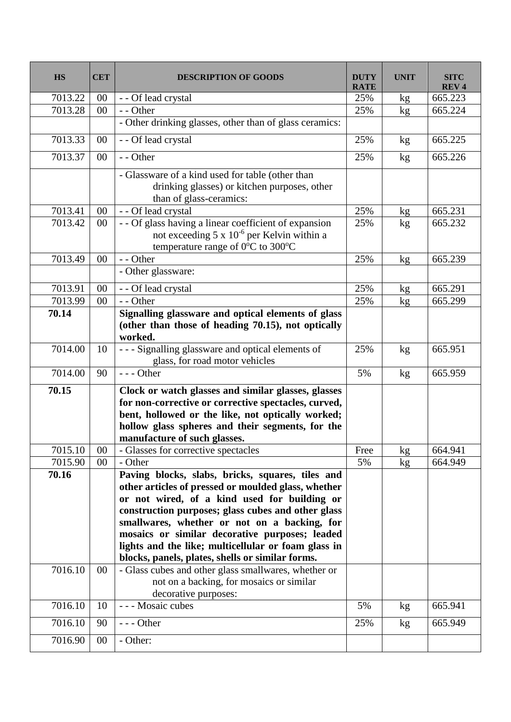| <b>HS</b> | <b>CET</b> | <b>DESCRIPTION OF GOODS</b>                                                                                                                                                                                                                                                                                                                                                                                                | <b>DUTY</b><br><b>RATE</b> | <b>UNIT</b> | <b>SITC</b><br><b>REV4</b> |
|-----------|------------|----------------------------------------------------------------------------------------------------------------------------------------------------------------------------------------------------------------------------------------------------------------------------------------------------------------------------------------------------------------------------------------------------------------------------|----------------------------|-------------|----------------------------|
| 7013.22   | 00         | - - Of lead crystal                                                                                                                                                                                                                                                                                                                                                                                                        | 25%                        | kg          | 665.223                    |
| 7013.28   | 00         | - - Other                                                                                                                                                                                                                                                                                                                                                                                                                  | 25%                        | kg          | 665.224                    |
|           |            | - Other drinking glasses, other than of glass ceramics:                                                                                                                                                                                                                                                                                                                                                                    |                            |             |                            |
| 7013.33   | $00\,$     | - - Of lead crystal                                                                                                                                                                                                                                                                                                                                                                                                        | 25%                        | kg          | 665.225                    |
| 7013.37   | $00\,$     | - - Other                                                                                                                                                                                                                                                                                                                                                                                                                  | 25%                        | kg          | 665.226                    |
|           |            | - Glassware of a kind used for table (other than<br>drinking glasses) or kitchen purposes, other<br>than of glass-ceramics:                                                                                                                                                                                                                                                                                                |                            |             |                            |
| 7013.41   | $00\,$     | - - Of lead crystal                                                                                                                                                                                                                                                                                                                                                                                                        | 25%                        | kg          | 665.231                    |
| 7013.42   | $00\,$     | - - Of glass having a linear coefficient of expansion<br>not exceeding 5 x 10 <sup>-6</sup> per Kelvin within a<br>temperature range of 0°C to 300°C                                                                                                                                                                                                                                                                       | 25%                        | kg          | 665.232                    |
| 7013.49   | 00         | - - Other                                                                                                                                                                                                                                                                                                                                                                                                                  | 25%                        | kg          | 665.239                    |
|           |            | - Other glassware:                                                                                                                                                                                                                                                                                                                                                                                                         |                            |             |                            |
| 7013.91   | 00         | - - Of lead crystal                                                                                                                                                                                                                                                                                                                                                                                                        | 25%                        | kg          | 665.291                    |
| 7013.99   | 00         | - - Other                                                                                                                                                                                                                                                                                                                                                                                                                  | 25%                        | kg          | 665.299                    |
| 70.14     |            | Signalling glassware and optical elements of glass<br>(other than those of heading 70.15), not optically<br>worked.                                                                                                                                                                                                                                                                                                        |                            |             |                            |
| 7014.00   | 10         | --- Signalling glassware and optical elements of<br>glass, for road motor vehicles                                                                                                                                                                                                                                                                                                                                         | 25%                        | kg          | 665.951                    |
| 7014.00   | 90         | $--$ Other                                                                                                                                                                                                                                                                                                                                                                                                                 | 5%                         | kg          | 665.959                    |
| 70.15     |            | Clock or watch glasses and similar glasses, glasses<br>for non-corrective or corrective spectacles, curved,<br>bent, hollowed or the like, not optically worked;<br>hollow glass spheres and their segments, for the<br>manufacture of such glasses.                                                                                                                                                                       |                            |             |                            |
| 7015.10   | $00\,$     | - Glasses for corrective spectacles                                                                                                                                                                                                                                                                                                                                                                                        | Free                       | kg          | 664.941                    |
| 7015.90   | $00\,$     | - Other                                                                                                                                                                                                                                                                                                                                                                                                                    | 5%                         | kg          | 664.949                    |
| 70.16     |            | Paving blocks, slabs, bricks, squares, tiles and<br>other articles of pressed or moulded glass, whether<br>or not wired, of a kind used for building or<br>construction purposes; glass cubes and other glass<br>smallwares, whether or not on a backing, for<br>mosaics or similar decorative purposes; leaded<br>lights and the like; multicellular or foam glass in<br>blocks, panels, plates, shells or similar forms. |                            |             |                            |
| 7016.10   | $00\,$     | - Glass cubes and other glass smallwares, whether or<br>not on a backing, for mosaics or similar<br>decorative purposes:                                                                                                                                                                                                                                                                                                   |                            |             |                            |
| 7016.10   | 10         | - - - Mosaic cubes                                                                                                                                                                                                                                                                                                                                                                                                         | 5%                         | kg          | 665.941                    |
| 7016.10   | 90         | $--$ Other                                                                                                                                                                                                                                                                                                                                                                                                                 | 25%                        | kg          | 665.949                    |
| 7016.90   | $00\,$     | - Other:                                                                                                                                                                                                                                                                                                                                                                                                                   |                            |             |                            |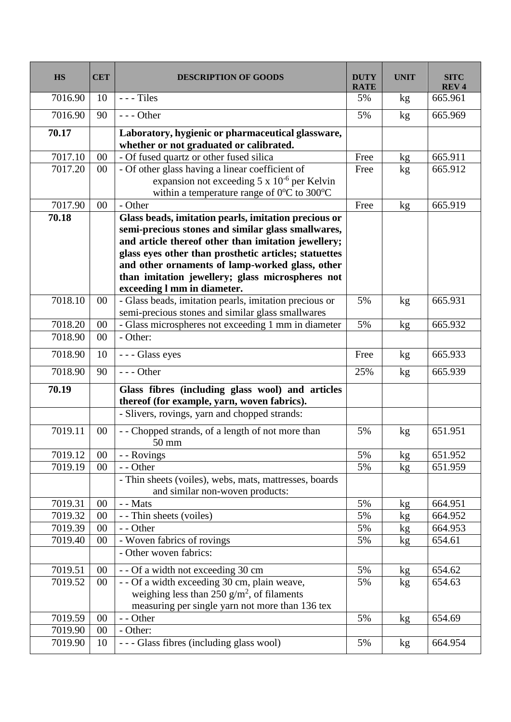| <b>HS</b> | <b>CET</b> | <b>DESCRIPTION OF GOODS</b>                                                                                                                                                                                                                                                                                                                                      | <b>DUTY</b><br><b>RATE</b> | <b>UNIT</b>   | <b>SITC</b><br><b>REV4</b> |
|-----------|------------|------------------------------------------------------------------------------------------------------------------------------------------------------------------------------------------------------------------------------------------------------------------------------------------------------------------------------------------------------------------|----------------------------|---------------|----------------------------|
| 7016.90   | 10         | $--$ Tiles                                                                                                                                                                                                                                                                                                                                                       | 5%                         | kg            | 665.961                    |
| 7016.90   | 90         | $--$ Other                                                                                                                                                                                                                                                                                                                                                       | 5%                         | kg            | 665.969                    |
| 70.17     |            | Laboratory, hygienic or pharmaceutical glassware,<br>whether or not graduated or calibrated.                                                                                                                                                                                                                                                                     |                            |               |                            |
| 7017.10   | 00         | - Of fused quartz or other fused silica                                                                                                                                                                                                                                                                                                                          | Free                       | kg            | 665.911                    |
| 7017.20   | $00\,$     | - Of other glass having a linear coefficient of<br>expansion not exceeding $5 \times 10^{-6}$ per Kelvin<br>within a temperature range of 0°C to 300°C                                                                                                                                                                                                           | Free                       | kg            | 665.912                    |
| 7017.90   | 00         | - Other                                                                                                                                                                                                                                                                                                                                                          | Free                       | kg            | 665.919                    |
| 70.18     |            | Glass beads, imitation pearls, imitation precious or<br>semi-precious stones and similar glass smallwares,<br>and article thereof other than imitation jewellery;<br>glass eyes other than prosthetic articles; statuettes<br>and other ornaments of lamp-worked glass, other<br>than imitation jewellery; glass microspheres not<br>exceeding I mm in diameter. |                            |               |                            |
| 7018.10   | $00\,$     | - Glass beads, imitation pearls, imitation precious or<br>semi-precious stones and similar glass smallwares                                                                                                                                                                                                                                                      | 5%                         | kg            | 665.931                    |
| 7018.20   | 00         | - Glass microspheres not exceeding 1 mm in diameter                                                                                                                                                                                                                                                                                                              | 5%                         | kg            | 665.932                    |
| 7018.90   | $00\,$     | - Other:                                                                                                                                                                                                                                                                                                                                                         |                            |               |                            |
| 7018.90   | 10         | --- Glass eyes                                                                                                                                                                                                                                                                                                                                                   | Free                       | kg            | 665.933                    |
| 7018.90   | 90         | $--$ Other                                                                                                                                                                                                                                                                                                                                                       | 25%                        | kg            | 665.939                    |
| 70.19     |            | Glass fibres (including glass wool) and articles<br>thereof (for example, yarn, woven fabrics).<br>- Slivers, rovings, yarn and chopped strands:                                                                                                                                                                                                                 |                            |               |                            |
| 7019.11   | 00         | - - Chopped strands, of a length of not more than<br>50 mm                                                                                                                                                                                                                                                                                                       | 5%                         | kg            | 651.951                    |
| 7019.12   | 00         | - - Rovings                                                                                                                                                                                                                                                                                                                                                      | 5%                         | kg            | 651.952                    |
| 7019.19   | 00         | - - Other<br>- Thin sheets (voiles), webs, mats, mattresses, boards<br>and similar non-woven products:                                                                                                                                                                                                                                                           | 5%                         | kg            | 651.959                    |
| 7019.31   | 00         | - - Mats                                                                                                                                                                                                                                                                                                                                                         | 5%                         | kg            | 664.951                    |
| 7019.32   | $00\,$     | - - Thin sheets (voiles)                                                                                                                                                                                                                                                                                                                                         | 5%                         | kg            | 664.952                    |
| 7019.39   | 00         | - - Other                                                                                                                                                                                                                                                                                                                                                        | 5%                         | kg            | 664.953                    |
| 7019.40   | 00         | - Woven fabrics of rovings                                                                                                                                                                                                                                                                                                                                       | 5%                         | kg            | 654.61                     |
|           |            | - Other woven fabrics:                                                                                                                                                                                                                                                                                                                                           |                            |               |                            |
| 7019.51   | 00         | - - Of a width not exceeding 30 cm                                                                                                                                                                                                                                                                                                                               | 5%                         | kg            | 654.62                     |
| 7019.52   | $00\,$     | - - Of a width exceeding 30 cm, plain weave,<br>weighing less than 250 $g/m^2$ , of filaments<br>measuring per single yarn not more than 136 tex                                                                                                                                                                                                                 | 5%                         | $\mathbf{kg}$ | 654.63                     |
| 7019.59   | $00\,$     | - - Other                                                                                                                                                                                                                                                                                                                                                        | 5%                         | kg            | 654.69                     |
| 7019.90   | 00         | - Other:                                                                                                                                                                                                                                                                                                                                                         |                            |               |                            |
| 7019.90   | 10         | --- Glass fibres (including glass wool)                                                                                                                                                                                                                                                                                                                          | 5%                         | kg            | 664.954                    |